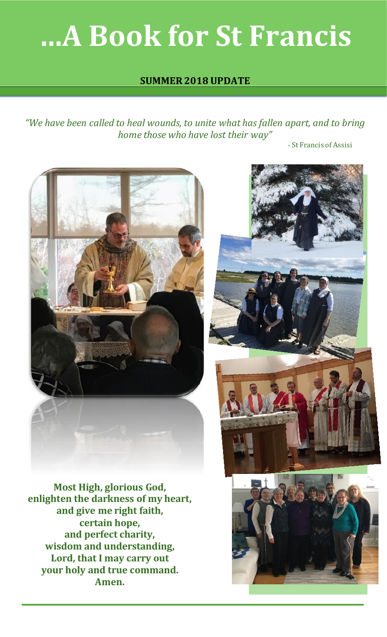# **…A Book for St Francis**

## **SUMMER 2018 UPDATE**

*"We have been called to heal wounds, to unite what has fallen apart, and to bring home those who have lost their way"*

- St Francis of Assisi



**Most High, glorious God, enlighten the darkness of my heart, and give me right faith, certain hope, and perfect charity, wisdom and understanding, Lord, that I may carry out your holy and true command. Amen.**